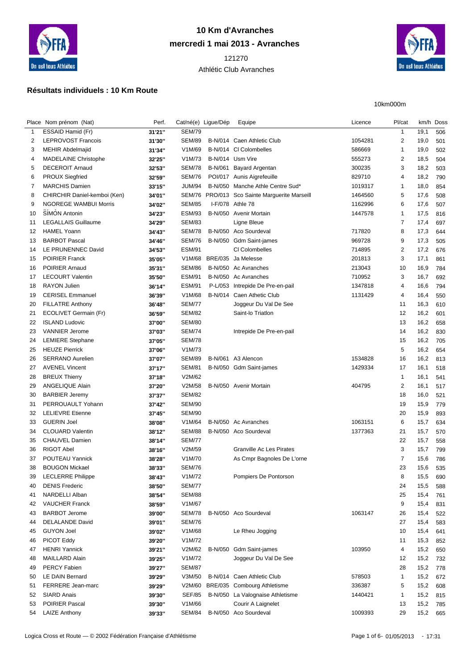

# **10 Km d'Avranches mercredi 1 mai 2013 - Avranches**

## Athlétic Club Avranches



10km000m

### **Résultats individuels : 10 Km Route**

|    | Place Nom prénom (Nat)       | Perf.         | Cat/né(e) Ligue/Dép |         | Equipe                                 | Licence | Pl/cat                  | km/h Doss |     |
|----|------------------------------|---------------|---------------------|---------|----------------------------------------|---------|-------------------------|-----------|-----|
| 1  | ESSAID Hamid (Fr)            | 31'21"        | <b>SEM/79</b>       |         |                                        |         | $\mathbf{1}$            | 19,1      | 506 |
| 2  | <b>LEPROVOST Francois</b>    | 31'30"        | <b>SEM/89</b>       |         | B-N/014 Caen Athletic Club             | 1054281 | $\overline{2}$          | 19,0      | 501 |
| 3  | <b>MEHIR Abdelmajid</b>      | 31'34"        | V1M/69              |         | B-N/014 CI Colombelles                 | 586669  | 1                       | 19,0      | 502 |
| 4  | <b>MADELAINE Christophe</b>  | 32'25"        | V1M/73              |         | B-N/014 Usm Vire                       | 555273  | $\overline{\mathbf{c}}$ | 18,5      | 504 |
| 5  | <b>DECEROIT Arnaud</b>       | 32'53"        | SEM/78              | B-N/061 | <b>Bayard Argentan</b>                 | 300235  | 3                       | 18,2      | 503 |
| 6  | <b>PROUX Siegfried</b>       | 32'59"        | <b>SEM/76</b>       |         | POI/017 Aunis Aigrefeuille             | 829710  | 4                       | 18,2      | 790 |
| 7  | <b>MARCHIS Damien</b>        | 33'15"        | <b>JUM/94</b>       |         | B-N/050 Manche Athle Centre Sud*       | 1019317 | $\mathbf{1}$            | 18,0      | 854 |
| 8  | CHIRCHIR Daniel-kemboi (Ken) | 34'01"        | SEM/76              |         | PRO/013 Sco Sainte Marguerite Marseill | 1464560 | 5                       | 17,6      | 508 |
| 9  | <b>NGOREGE WAMBUI Morris</b> | 34'02"        | <b>SEM/85</b>       |         | I-F/078 Athle 78                       | 1162996 | 6                       | 17,6      | 507 |
| 10 | SÍMON Antonin                | 34'23"        | <b>ESM/93</b>       |         | B-N/050 Avenir Mortain                 | 1447578 | $\mathbf{1}$            | 17,5      | 816 |
| 11 | <b>LEGALLAIS Guillaume</b>   | 34'29"        | <b>SEM/83</b>       |         | Ligne Bleue                            |         | $\overline{7}$          | 17,4      | 697 |
| 12 | <b>HAMEL Yoann</b>           | 34'43"        | <b>SEM/78</b>       |         | B-N/050 Aco Sourdeval                  | 717820  | 8                       | 17,3      | 644 |
| 13 | <b>BARBOT Pascal</b>         | 34'46"        | <b>SEM/76</b>       |         | B-N/050 Gdm Saint-james                | 969728  | 9                       | 17,3      | 505 |
| 14 | LE PRUNENNEC David           |               | <b>ESM/91</b>       |         | CI Colombelles                         | 714895  | $\overline{\mathbf{c}}$ | 17,2      | 676 |
|    | <b>POIRIER Franck</b>        | 34'53"        | V1M/68              |         | BRE/035 Ja Melesse                     | 201813  |                         |           |     |
| 15 |                              | 35'05"        |                     |         |                                        |         | 3                       | 17,1      | 861 |
| 16 | POIRIER Arnaud               | 35'31"        | <b>SEM/86</b>       |         | B-N/050 Ac Avranches                   | 213043  | 10                      | 16,9      | 784 |
| 17 | <b>LECOURT Valentin</b>      | 35'50"        | <b>ESM/91</b>       |         | B-N/050 Ac Avranches                   | 710952  | 3                       | 16,7      | 692 |
| 18 | <b>RAYON Julien</b>          | 36'14"        | <b>ESM/91</b>       |         | P-L/053 Intrepide De Pre-en-pail       | 1347818 | 4                       | 16,6      | 794 |
| 19 | <b>CERISEL Emmanuel</b>      | 36'39"        | V1M/68              | B-N/014 | Caen Athetic Club                      | 1131429 | 4                       | 16,4      | 550 |
| 20 | <b>FILLATRE Anthony</b>      | 36'48"        | <b>SEM/77</b>       |         | Joggeur Du Val De See                  |         | 11                      | 16,3      | 610 |
| 21 | ECOLIVET Germain (Fr)        | 36'59"        | <b>SEM/82</b>       |         | Saint-lo Triatlon                      |         | 12                      | 16,2      | 601 |
| 22 | <b>ISLAND Ludovic</b>        | <b>37'00"</b> | <b>SEM/80</b>       |         |                                        |         | 13                      | 16,2      | 658 |
| 23 | <b>VANNIER Jerome</b>        | 37'03"        | <b>SEM/74</b>       |         | Intrepide De Pre-en-pail               |         | 14                      | 16,2      | 830 |
| 24 | <b>LEMIERE</b> Stephane      | 37'05"        | <b>SEM/78</b>       |         |                                        |         | 15                      | 16,2      | 705 |
| 25 | <b>HEUZE Pierrick</b>        | 37'06"        | V1M/73              |         |                                        |         | 5                       | 16,2      | 654 |
| 26 | <b>SERRANO Aurelien</b>      | 37'07"        | <b>SEM/89</b>       |         | B-N/061 A3 Alencon                     | 1534828 | 16                      | 16,2      | 813 |
| 27 | <b>AVENEL Vincent</b>        | 37'17"        | <b>SEM/81</b>       |         | B-N/050 Gdm Saint-james                | 1429334 | 17                      | 16,1      | 518 |
| 28 | <b>BREUX Thierry</b>         | 37'18"        | V2M/62              |         |                                        |         | $\mathbf{1}$            | 16,1      | 541 |
| 29 | <b>ANGELIQUE Alain</b>       | 37'20"        | V2M/58              |         | B-N/050 Avenir Mortain                 | 404795  | $\overline{\mathbf{c}}$ | 16,1      | 517 |
| 30 | <b>BARBIER Jeremy</b>        | 37'37"        | <b>SEM/82</b>       |         |                                        |         | 18                      | 16,0      | 521 |
| 31 | PERROUAULT Yohann            | 37'42"        | <b>SEM/90</b>       |         |                                        |         | 19                      | 15,9      | 779 |
| 32 | <b>LELIEVRE Etienne</b>      | 37'45"        | <b>SEM/90</b>       |         |                                        |         | 20                      | 15,9      | 893 |
| 33 | <b>GUERIN Joel</b>           | 38'08"        | V1M/64              |         | B-N/050 Ac Avranches                   | 1063151 | 6                       | 15,7      | 634 |
| 34 | <b>CLOUARD Valentin</b>      | 38'12"        | <b>SEM/88</b>       |         | B-N/050 Aco Sourdeval                  | 1377363 | 21                      | 15,7      | 570 |
| 35 | CHAUVEL Damien               | 38'14"        | <b>SEM/77</b>       |         |                                        |         | 22                      | 15,7      | 558 |
| 36 | <b>RIGOT Abel</b>            | 38'16"        | V2M/59              |         | Granville Ac Les Pirates               |         | 3                       | 15,7      | 799 |
| 37 | POUTEAU Yannick              | 38'28"        | V1M/70              |         | As Cmpr Bagnoles De L'orne             |         | $\overline{7}$          | 15,6      | 786 |
| 38 | <b>BOUGON Mickael</b>        | 38'33"        | <b>SEM/76</b>       |         |                                        |         | 23                      | 15,6      | 535 |
| 39 | <b>LECLERRE Philippe</b>     | 38'43"        | V1M/72              |         | Pompiers De Pontorson                  |         | 8                       | 15,5      | 690 |
| 40 | <b>DENIS Frederic</b>        | 38'50"        | <b>SEM/77</b>       |         |                                        |         | 24                      | 15,5      | 588 |
| 41 | NARDELLI Alban               | 38'54"        | <b>SEM/88</b>       |         |                                        |         | 25                      | 15,4      | 761 |
| 42 | <b>VAUCHER Franck</b>        | 38'59"        | V1M/67              |         |                                        |         | 9                       | 15,4      | 831 |
| 43 | <b>BARBOT Jerome</b>         | 39'00"        | <b>SEM/78</b>       |         | B-N/050 Aco Sourdeval                  | 1063147 | 26                      | 15,4      | 522 |
| 44 | <b>DELALANDE David</b>       | 39'01"        | <b>SEM/76</b>       |         |                                        |         | 27                      | 15,4      | 583 |
| 45 | <b>GUYON Joel</b>            | 39'02"        | V1M/68              |         | Le Rheu Jogging                        |         | 10                      | 15,4      |     |
|    | PICOT Eddy                   |               | V1M/72              |         |                                        |         |                         |           | 641 |
| 46 | <b>HENRI Yannick</b>         | 39'20"        | V2M/62              |         | <b>Gdm Saint-james</b>                 | 103950  | 11                      | 15,3      | 852 |
| 47 |                              | 39'21"        |                     | B-N/050 |                                        |         | 4                       | 15,2      | 650 |
| 48 | <b>MAILLARD Alain</b>        | 39'25"        | V1M/72              |         | Joggeur Du Val De See                  |         | 12                      | 15,2      | 732 |
| 49 | <b>PERCY Fabien</b>          | 39'27"        | <b>SEM/87</b>       |         |                                        |         | 28                      | 15,2      | 778 |
| 50 | LE DAIN Bernard              | 39'29"        | V3M/50              |         | B-N/014 Caen Athletic Club             | 578503  | $\mathbf{1}$            | 15,2      | 672 |
| 51 | FERRERE Jean-marc            | 39'29"        | V2M/60              |         | BRE/035 Combourg Athletisme            | 336387  | 5                       | 15,2      | 608 |
| 52 | <b>SIARD Anais</b>           | 39'30"        | <b>SEF/85</b>       |         | B-N/050 La Valognaise Athletisme       | 1440421 | $\mathbf{1}$            | 15,2      | 815 |
| 53 | POIRIER Pascal               | 39'30"        | V1M/66              |         | Courir A Laignelet                     |         | 13                      | 15,2      | 785 |
| 54 | <b>LAIZE Anthony</b>         | 39'33"        | <b>SEM/84</b>       |         | B-N/050 Aco Sourdeval                  | 1009393 | 29                      | 15,2      | 665 |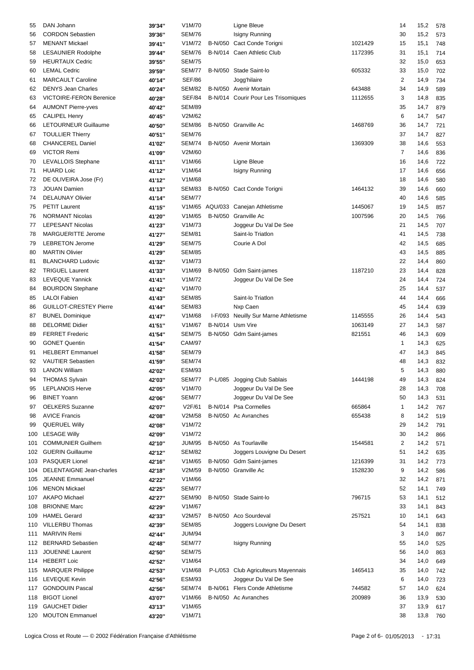| DAN Johann                                   | 39'34"                                                                                                                                                                                                                                                                                                                                                                                                                                                                                                                     | V1M/70                                                                                                                                                       |                                                                                                                                                                                                                                                        | Ligne Bleue                         |                                                                                                                                                                                                                                                                                                                                                                                                                                                                                                                                                               | 14                                                                              | 15,2                                                                                                 | 578                                                                                                                                                                                                                  |
|----------------------------------------------|----------------------------------------------------------------------------------------------------------------------------------------------------------------------------------------------------------------------------------------------------------------------------------------------------------------------------------------------------------------------------------------------------------------------------------------------------------------------------------------------------------------------------|--------------------------------------------------------------------------------------------------------------------------------------------------------------|--------------------------------------------------------------------------------------------------------------------------------------------------------------------------------------------------------------------------------------------------------|-------------------------------------|---------------------------------------------------------------------------------------------------------------------------------------------------------------------------------------------------------------------------------------------------------------------------------------------------------------------------------------------------------------------------------------------------------------------------------------------------------------------------------------------------------------------------------------------------------------|---------------------------------------------------------------------------------|------------------------------------------------------------------------------------------------------|----------------------------------------------------------------------------------------------------------------------------------------------------------------------------------------------------------------------|
| <b>CORDON Sebastien</b>                      | 39'36"                                                                                                                                                                                                                                                                                                                                                                                                                                                                                                                     | <b>SEM/76</b>                                                                                                                                                |                                                                                                                                                                                                                                                        | Isigny Running                      |                                                                                                                                                                                                                                                                                                                                                                                                                                                                                                                                                               | 30                                                                              | 15,2                                                                                                 | 573                                                                                                                                                                                                                  |
| <b>MENANT Mickael</b>                        | 39'41"                                                                                                                                                                                                                                                                                                                                                                                                                                                                                                                     | V1M/72                                                                                                                                                       |                                                                                                                                                                                                                                                        | B-N/050 Cact Conde Torigni          | 1021429                                                                                                                                                                                                                                                                                                                                                                                                                                                                                                                                                       | 15                                                                              | 15,1                                                                                                 | 748                                                                                                                                                                                                                  |
| <b>LESAUNIER Rodolphe</b>                    | 39'44"                                                                                                                                                                                                                                                                                                                                                                                                                                                                                                                     | <b>SEM/76</b>                                                                                                                                                |                                                                                                                                                                                                                                                        | B-N/014 Caen Athletic Club          | 1172395                                                                                                                                                                                                                                                                                                                                                                                                                                                                                                                                                       | 31                                                                              | 15,1                                                                                                 | 714                                                                                                                                                                                                                  |
| <b>HEURTAUX Cedric</b>                       | 39'55"                                                                                                                                                                                                                                                                                                                                                                                                                                                                                                                     | <b>SEM/75</b>                                                                                                                                                |                                                                                                                                                                                                                                                        |                                     |                                                                                                                                                                                                                                                                                                                                                                                                                                                                                                                                                               | 32                                                                              | 15,0                                                                                                 | 653                                                                                                                                                                                                                  |
|                                              |                                                                                                                                                                                                                                                                                                                                                                                                                                                                                                                            |                                                                                                                                                              |                                                                                                                                                                                                                                                        |                                     |                                                                                                                                                                                                                                                                                                                                                                                                                                                                                                                                                               |                                                                                 |                                                                                                      |                                                                                                                                                                                                                      |
|                                              |                                                                                                                                                                                                                                                                                                                                                                                                                                                                                                                            |                                                                                                                                                              |                                                                                                                                                                                                                                                        |                                     |                                                                                                                                                                                                                                                                                                                                                                                                                                                                                                                                                               |                                                                                 |                                                                                                      | 702                                                                                                                                                                                                                  |
|                                              |                                                                                                                                                                                                                                                                                                                                                                                                                                                                                                                            |                                                                                                                                                              |                                                                                                                                                                                                                                                        |                                     |                                                                                                                                                                                                                                                                                                                                                                                                                                                                                                                                                               |                                                                                 |                                                                                                      | 734                                                                                                                                                                                                                  |
|                                              | 40'24"                                                                                                                                                                                                                                                                                                                                                                                                                                                                                                                     |                                                                                                                                                              |                                                                                                                                                                                                                                                        |                                     |                                                                                                                                                                                                                                                                                                                                                                                                                                                                                                                                                               |                                                                                 |                                                                                                      | 589                                                                                                                                                                                                                  |
| <b>VICTOIRE-FERON Berenice</b>               | 40'28"                                                                                                                                                                                                                                                                                                                                                                                                                                                                                                                     | <b>SEF/84</b>                                                                                                                                                |                                                                                                                                                                                                                                                        |                                     | 1112655                                                                                                                                                                                                                                                                                                                                                                                                                                                                                                                                                       | 3                                                                               |                                                                                                      | 835                                                                                                                                                                                                                  |
| <b>AUMONT Pierre-yves</b>                    | 40'42"                                                                                                                                                                                                                                                                                                                                                                                                                                                                                                                     | <b>SEM/89</b>                                                                                                                                                |                                                                                                                                                                                                                                                        |                                     |                                                                                                                                                                                                                                                                                                                                                                                                                                                                                                                                                               | 35                                                                              | 14,7                                                                                                 | 879                                                                                                                                                                                                                  |
| <b>CALIPEL Henry</b>                         | 40'45"                                                                                                                                                                                                                                                                                                                                                                                                                                                                                                                     | V2M/62                                                                                                                                                       |                                                                                                                                                                                                                                                        |                                     |                                                                                                                                                                                                                                                                                                                                                                                                                                                                                                                                                               | 6                                                                               |                                                                                                      | 547                                                                                                                                                                                                                  |
| LETOURNEUR Guillaume                         | 40'50"                                                                                                                                                                                                                                                                                                                                                                                                                                                                                                                     | <b>SEM/86</b>                                                                                                                                                |                                                                                                                                                                                                                                                        |                                     | 1468769                                                                                                                                                                                                                                                                                                                                                                                                                                                                                                                                                       | 36                                                                              | 14,7                                                                                                 | 721                                                                                                                                                                                                                  |
|                                              |                                                                                                                                                                                                                                                                                                                                                                                                                                                                                                                            | <b>SEM/76</b>                                                                                                                                                |                                                                                                                                                                                                                                                        |                                     |                                                                                                                                                                                                                                                                                                                                                                                                                                                                                                                                                               |                                                                                 |                                                                                                      | 827                                                                                                                                                                                                                  |
|                                              |                                                                                                                                                                                                                                                                                                                                                                                                                                                                                                                            |                                                                                                                                                              |                                                                                                                                                                                                                                                        |                                     |                                                                                                                                                                                                                                                                                                                                                                                                                                                                                                                                                               |                                                                                 |                                                                                                      | 553                                                                                                                                                                                                                  |
|                                              |                                                                                                                                                                                                                                                                                                                                                                                                                                                                                                                            |                                                                                                                                                              |                                                                                                                                                                                                                                                        |                                     |                                                                                                                                                                                                                                                                                                                                                                                                                                                                                                                                                               |                                                                                 |                                                                                                      | 836                                                                                                                                                                                                                  |
|                                              |                                                                                                                                                                                                                                                                                                                                                                                                                                                                                                                            |                                                                                                                                                              |                                                                                                                                                                                                                                                        |                                     |                                                                                                                                                                                                                                                                                                                                                                                                                                                                                                                                                               |                                                                                 |                                                                                                      |                                                                                                                                                                                                                      |
|                                              |                                                                                                                                                                                                                                                                                                                                                                                                                                                                                                                            |                                                                                                                                                              |                                                                                                                                                                                                                                                        |                                     |                                                                                                                                                                                                                                                                                                                                                                                                                                                                                                                                                               |                                                                                 |                                                                                                      | 722                                                                                                                                                                                                                  |
|                                              |                                                                                                                                                                                                                                                                                                                                                                                                                                                                                                                            |                                                                                                                                                              |                                                                                                                                                                                                                                                        |                                     |                                                                                                                                                                                                                                                                                                                                                                                                                                                                                                                                                               |                                                                                 |                                                                                                      | 656                                                                                                                                                                                                                  |
|                                              | 41'12"                                                                                                                                                                                                                                                                                                                                                                                                                                                                                                                     |                                                                                                                                                              |                                                                                                                                                                                                                                                        |                                     |                                                                                                                                                                                                                                                                                                                                                                                                                                                                                                                                                               |                                                                                 |                                                                                                      | 580                                                                                                                                                                                                                  |
| <b>JOUAN Damien</b>                          | 41'13"                                                                                                                                                                                                                                                                                                                                                                                                                                                                                                                     | <b>SEM/83</b>                                                                                                                                                |                                                                                                                                                                                                                                                        |                                     | 1464132                                                                                                                                                                                                                                                                                                                                                                                                                                                                                                                                                       | 39                                                                              |                                                                                                      | 660                                                                                                                                                                                                                  |
| <b>DELAUNAY Olivier</b>                      | 41'14"                                                                                                                                                                                                                                                                                                                                                                                                                                                                                                                     | <b>SEM/77</b>                                                                                                                                                |                                                                                                                                                                                                                                                        |                                     |                                                                                                                                                                                                                                                                                                                                                                                                                                                                                                                                                               | 40                                                                              | 14,6                                                                                                 | 585                                                                                                                                                                                                                  |
| <b>PETIT Laurent</b>                         | 41'15"                                                                                                                                                                                                                                                                                                                                                                                                                                                                                                                     |                                                                                                                                                              |                                                                                                                                                                                                                                                        |                                     | 1445067                                                                                                                                                                                                                                                                                                                                                                                                                                                                                                                                                       | 19                                                                              | 14,5                                                                                                 | 857                                                                                                                                                                                                                  |
| <b>NORMANT Nicolas</b>                       | 41'20"                                                                                                                                                                                                                                                                                                                                                                                                                                                                                                                     | V1M/65                                                                                                                                                       |                                                                                                                                                                                                                                                        |                                     | 1007596                                                                                                                                                                                                                                                                                                                                                                                                                                                                                                                                                       | 20                                                                              | 14,5                                                                                                 | 766                                                                                                                                                                                                                  |
| <b>LEPESANT Nicolas</b>                      |                                                                                                                                                                                                                                                                                                                                                                                                                                                                                                                            | V1M/73                                                                                                                                                       |                                                                                                                                                                                                                                                        |                                     |                                                                                                                                                                                                                                                                                                                                                                                                                                                                                                                                                               | 21                                                                              |                                                                                                      | 707                                                                                                                                                                                                                  |
|                                              |                                                                                                                                                                                                                                                                                                                                                                                                                                                                                                                            |                                                                                                                                                              |                                                                                                                                                                                                                                                        |                                     |                                                                                                                                                                                                                                                                                                                                                                                                                                                                                                                                                               |                                                                                 |                                                                                                      | 738                                                                                                                                                                                                                  |
|                                              |                                                                                                                                                                                                                                                                                                                                                                                                                                                                                                                            |                                                                                                                                                              |                                                                                                                                                                                                                                                        |                                     |                                                                                                                                                                                                                                                                                                                                                                                                                                                                                                                                                               |                                                                                 |                                                                                                      | 685                                                                                                                                                                                                                  |
|                                              |                                                                                                                                                                                                                                                                                                                                                                                                                                                                                                                            |                                                                                                                                                              |                                                                                                                                                                                                                                                        |                                     |                                                                                                                                                                                                                                                                                                                                                                                                                                                                                                                                                               |                                                                                 |                                                                                                      |                                                                                                                                                                                                                      |
|                                              |                                                                                                                                                                                                                                                                                                                                                                                                                                                                                                                            |                                                                                                                                                              |                                                                                                                                                                                                                                                        |                                     |                                                                                                                                                                                                                                                                                                                                                                                                                                                                                                                                                               |                                                                                 |                                                                                                      | 885                                                                                                                                                                                                                  |
|                                              | 41'32"                                                                                                                                                                                                                                                                                                                                                                                                                                                                                                                     |                                                                                                                                                              |                                                                                                                                                                                                                                                        |                                     |                                                                                                                                                                                                                                                                                                                                                                                                                                                                                                                                                               |                                                                                 |                                                                                                      | 860                                                                                                                                                                                                                  |
|                                              | 41'33"                                                                                                                                                                                                                                                                                                                                                                                                                                                                                                                     | V1M/69                                                                                                                                                       |                                                                                                                                                                                                                                                        |                                     |                                                                                                                                                                                                                                                                                                                                                                                                                                                                                                                                                               | 23                                                                              | 14,4                                                                                                 | 828                                                                                                                                                                                                                  |
| LEVEQUE Yannick                              | 41'41"                                                                                                                                                                                                                                                                                                                                                                                                                                                                                                                     | V1M/72                                                                                                                                                       |                                                                                                                                                                                                                                                        | Joggeur Du Val De See               |                                                                                                                                                                                                                                                                                                                                                                                                                                                                                                                                                               | 24                                                                              |                                                                                                      | 724                                                                                                                                                                                                                  |
| <b>BOURDON Stephane</b>                      | 41'42"                                                                                                                                                                                                                                                                                                                                                                                                                                                                                                                     | V1M/70                                                                                                                                                       |                                                                                                                                                                                                                                                        |                                     |                                                                                                                                                                                                                                                                                                                                                                                                                                                                                                                                                               | 25                                                                              |                                                                                                      | 537                                                                                                                                                                                                                  |
| <b>LALOI</b> Fabien                          | 41'43"                                                                                                                                                                                                                                                                                                                                                                                                                                                                                                                     | <b>SEM/85</b>                                                                                                                                                |                                                                                                                                                                                                                                                        | Saint-lo Triatlon                   |                                                                                                                                                                                                                                                                                                                                                                                                                                                                                                                                                               | 44                                                                              | 14,4                                                                                                 | 666                                                                                                                                                                                                                  |
| <b>GUILLOT-CRESTEY Pierre</b>                | 41'44"                                                                                                                                                                                                                                                                                                                                                                                                                                                                                                                     | <b>SEM/83</b>                                                                                                                                                |                                                                                                                                                                                                                                                        | Nxp Caen                            |                                                                                                                                                                                                                                                                                                                                                                                                                                                                                                                                                               | 45                                                                              | 14,4                                                                                                 | 639                                                                                                                                                                                                                  |
| <b>BUNEL Dominique</b>                       | 41'47"                                                                                                                                                                                                                                                                                                                                                                                                                                                                                                                     | V1M/68                                                                                                                                                       |                                                                                                                                                                                                                                                        |                                     | 1145555                                                                                                                                                                                                                                                                                                                                                                                                                                                                                                                                                       | 26                                                                              | 14,4                                                                                                 | 543                                                                                                                                                                                                                  |
|                                              |                                                                                                                                                                                                                                                                                                                                                                                                                                                                                                                            |                                                                                                                                                              |                                                                                                                                                                                                                                                        |                                     |                                                                                                                                                                                                                                                                                                                                                                                                                                                                                                                                                               |                                                                                 |                                                                                                      | 587                                                                                                                                                                                                                  |
|                                              |                                                                                                                                                                                                                                                                                                                                                                                                                                                                                                                            |                                                                                                                                                              |                                                                                                                                                                                                                                                        |                                     |                                                                                                                                                                                                                                                                                                                                                                                                                                                                                                                                                               |                                                                                 |                                                                                                      | 609                                                                                                                                                                                                                  |
|                                              |                                                                                                                                                                                                                                                                                                                                                                                                                                                                                                                            |                                                                                                                                                              |                                                                                                                                                                                                                                                        |                                     |                                                                                                                                                                                                                                                                                                                                                                                                                                                                                                                                                               |                                                                                 |                                                                                                      |                                                                                                                                                                                                                      |
|                                              |                                                                                                                                                                                                                                                                                                                                                                                                                                                                                                                            |                                                                                                                                                              |                                                                                                                                                                                                                                                        |                                     |                                                                                                                                                                                                                                                                                                                                                                                                                                                                                                                                                               |                                                                                 |                                                                                                      | 625                                                                                                                                                                                                                  |
|                                              | 41'58"                                                                                                                                                                                                                                                                                                                                                                                                                                                                                                                     |                                                                                                                                                              |                                                                                                                                                                                                                                                        |                                     |                                                                                                                                                                                                                                                                                                                                                                                                                                                                                                                                                               |                                                                                 |                                                                                                      | 845                                                                                                                                                                                                                  |
| <b>VAUTIER Sebastien</b>                     | 41'59"                                                                                                                                                                                                                                                                                                                                                                                                                                                                                                                     | <b>SEM/74</b>                                                                                                                                                |                                                                                                                                                                                                                                                        |                                     |                                                                                                                                                                                                                                                                                                                                                                                                                                                                                                                                                               | 48                                                                              |                                                                                                      | 832                                                                                                                                                                                                                  |
| <b>LANON William</b>                         | 42'02"                                                                                                                                                                                                                                                                                                                                                                                                                                                                                                                     | <b>ESM/93</b>                                                                                                                                                |                                                                                                                                                                                                                                                        |                                     |                                                                                                                                                                                                                                                                                                                                                                                                                                                                                                                                                               | 5                                                                               | 14,3                                                                                                 | 880                                                                                                                                                                                                                  |
| 94 THOMAS Sylvain                            | 42'03"                                                                                                                                                                                                                                                                                                                                                                                                                                                                                                                     |                                                                                                                                                              |                                                                                                                                                                                                                                                        |                                     | 1444198                                                                                                                                                                                                                                                                                                                                                                                                                                                                                                                                                       | 49                                                                              |                                                                                                      | 824                                                                                                                                                                                                                  |
| <b>LEPLANOIS Herve</b>                       | 42'05"                                                                                                                                                                                                                                                                                                                                                                                                                                                                                                                     | V <sub>1</sub> M/70                                                                                                                                          |                                                                                                                                                                                                                                                        | Joggeur Du Val De See               |                                                                                                                                                                                                                                                                                                                                                                                                                                                                                                                                                               | 28                                                                              | 14,3                                                                                                 | 708                                                                                                                                                                                                                  |
| <b>BINET Yoann</b>                           | 42'06"                                                                                                                                                                                                                                                                                                                                                                                                                                                                                                                     | <b>SEM/77</b>                                                                                                                                                |                                                                                                                                                                                                                                                        | Joggeur Du Val De See               |                                                                                                                                                                                                                                                                                                                                                                                                                                                                                                                                                               | 50                                                                              | 14,3                                                                                                 | 531                                                                                                                                                                                                                  |
|                                              |                                                                                                                                                                                                                                                                                                                                                                                                                                                                                                                            |                                                                                                                                                              |                                                                                                                                                                                                                                                        |                                     |                                                                                                                                                                                                                                                                                                                                                                                                                                                                                                                                                               | 1                                                                               |                                                                                                      | 767                                                                                                                                                                                                                  |
|                                              |                                                                                                                                                                                                                                                                                                                                                                                                                                                                                                                            |                                                                                                                                                              |                                                                                                                                                                                                                                                        |                                     |                                                                                                                                                                                                                                                                                                                                                                                                                                                                                                                                                               |                                                                                 |                                                                                                      | 519                                                                                                                                                                                                                  |
|                                              |                                                                                                                                                                                                                                                                                                                                                                                                                                                                                                                            |                                                                                                                                                              |                                                                                                                                                                                                                                                        |                                     |                                                                                                                                                                                                                                                                                                                                                                                                                                                                                                                                                               |                                                                                 |                                                                                                      |                                                                                                                                                                                                                      |
| <b>QUERUEL Willy</b>                         | 42'08"                                                                                                                                                                                                                                                                                                                                                                                                                                                                                                                     | V1M/72                                                                                                                                                       |                                                                                                                                                                                                                                                        |                                     |                                                                                                                                                                                                                                                                                                                                                                                                                                                                                                                                                               | 29                                                                              | 14,2                                                                                                 | 791                                                                                                                                                                                                                  |
| <b>LESAGE Willy</b>                          | 42'09"                                                                                                                                                                                                                                                                                                                                                                                                                                                                                                                     | V1M/72                                                                                                                                                       |                                                                                                                                                                                                                                                        |                                     |                                                                                                                                                                                                                                                                                                                                                                                                                                                                                                                                                               | 30                                                                              | 14,2                                                                                                 | 866                                                                                                                                                                                                                  |
| <b>COMMUNIER Guilhem</b>                     | 42'10"                                                                                                                                                                                                                                                                                                                                                                                                                                                                                                                     | <b>JUM/95</b>                                                                                                                                                |                                                                                                                                                                                                                                                        |                                     |                                                                                                                                                                                                                                                                                                                                                                                                                                                                                                                                                               |                                                                                 |                                                                                                      | 571                                                                                                                                                                                                                  |
|                                              |                                                                                                                                                                                                                                                                                                                                                                                                                                                                                                                            |                                                                                                                                                              |                                                                                                                                                                                                                                                        | B-N/050 As Tourlaville              | 1544581                                                                                                                                                                                                                                                                                                                                                                                                                                                                                                                                                       | 2                                                                               | 14,2                                                                                                 |                                                                                                                                                                                                                      |
| 102 GUERIN Guillaume                         | 42'12"                                                                                                                                                                                                                                                                                                                                                                                                                                                                                                                     | <b>SEM/82</b>                                                                                                                                                |                                                                                                                                                                                                                                                        | Joggers Louvigne Du Desert          |                                                                                                                                                                                                                                                                                                                                                                                                                                                                                                                                                               | 51                                                                              | 14,2                                                                                                 | 635                                                                                                                                                                                                                  |
| 103 PASQUER Lionel                           | 42'16"                                                                                                                                                                                                                                                                                                                                                                                                                                                                                                                     | V1M/65                                                                                                                                                       |                                                                                                                                                                                                                                                        | B-N/050 Gdm Saint-james             | 1216399                                                                                                                                                                                                                                                                                                                                                                                                                                                                                                                                                       | 31                                                                              | 14,2                                                                                                 | 773                                                                                                                                                                                                                  |
| DELENTAIGNE Jean-charles                     | 42'18"                                                                                                                                                                                                                                                                                                                                                                                                                                                                                                                     | V2M/59                                                                                                                                                       |                                                                                                                                                                                                                                                        | B-N/050 Granville Ac                | 1528230                                                                                                                                                                                                                                                                                                                                                                                                                                                                                                                                                       | 9                                                                               | 14,2                                                                                                 | 586                                                                                                                                                                                                                  |
| 105 JEANNE Emmanuel                          | 42'22"                                                                                                                                                                                                                                                                                                                                                                                                                                                                                                                     | V1M/66                                                                                                                                                       |                                                                                                                                                                                                                                                        |                                     |                                                                                                                                                                                                                                                                                                                                                                                                                                                                                                                                                               | 32                                                                              | 14,2                                                                                                 | 871                                                                                                                                                                                                                  |
|                                              |                                                                                                                                                                                                                                                                                                                                                                                                                                                                                                                            |                                                                                                                                                              |                                                                                                                                                                                                                                                        |                                     |                                                                                                                                                                                                                                                                                                                                                                                                                                                                                                                                                               |                                                                                 |                                                                                                      |                                                                                                                                                                                                                      |
| <b>MENON Mickael</b>                         | 42'25"                                                                                                                                                                                                                                                                                                                                                                                                                                                                                                                     | <b>SEM/77</b>                                                                                                                                                |                                                                                                                                                                                                                                                        |                                     |                                                                                                                                                                                                                                                                                                                                                                                                                                                                                                                                                               | 52                                                                              | 14,1                                                                                                 | 749                                                                                                                                                                                                                  |
| 107 AKAPO Michael                            | 42'27"                                                                                                                                                                                                                                                                                                                                                                                                                                                                                                                     | SEM/90                                                                                                                                                       |                                                                                                                                                                                                                                                        | B-N/050 Stade Saint-lo              | 796715                                                                                                                                                                                                                                                                                                                                                                                                                                                                                                                                                        | 53                                                                              | 14,1                                                                                                 | 512                                                                                                                                                                                                                  |
| <b>BRIONNE Marc</b>                          | 42'29"                                                                                                                                                                                                                                                                                                                                                                                                                                                                                                                     | V1M/67                                                                                                                                                       |                                                                                                                                                                                                                                                        |                                     |                                                                                                                                                                                                                                                                                                                                                                                                                                                                                                                                                               | 33                                                                              | 14,1                                                                                                 | 843                                                                                                                                                                                                                  |
| 109 HAMEL Gerard                             | 42'33"                                                                                                                                                                                                                                                                                                                                                                                                                                                                                                                     | V2M/57                                                                                                                                                       |                                                                                                                                                                                                                                                        | B-N/050 Aco Sourdeval               | 257521                                                                                                                                                                                                                                                                                                                                                                                                                                                                                                                                                        | 10                                                                              | 14,1                                                                                                 | 643                                                                                                                                                                                                                  |
| 110 VILLERBU Thomas                          | 42'39"                                                                                                                                                                                                                                                                                                                                                                                                                                                                                                                     | <b>SEM/85</b>                                                                                                                                                |                                                                                                                                                                                                                                                        | Joggers Louvigne Du Desert          |                                                                                                                                                                                                                                                                                                                                                                                                                                                                                                                                                               | 54                                                                              | 14,1                                                                                                 | 838                                                                                                                                                                                                                  |
| MARIVIN Remi                                 | 42'44"                                                                                                                                                                                                                                                                                                                                                                                                                                                                                                                     | <b>JUM/94</b>                                                                                                                                                |                                                                                                                                                                                                                                                        |                                     |                                                                                                                                                                                                                                                                                                                                                                                                                                                                                                                                                               | 3                                                                               | 14,0                                                                                                 | 867                                                                                                                                                                                                                  |
| 112 BERNARD Sebastien                        | 42'48"                                                                                                                                                                                                                                                                                                                                                                                                                                                                                                                     | <b>SEM/77</b>                                                                                                                                                |                                                                                                                                                                                                                                                        | Isigny Running                      |                                                                                                                                                                                                                                                                                                                                                                                                                                                                                                                                                               | 55                                                                              | 14,0                                                                                                 | 525                                                                                                                                                                                                                  |
| <b>JOUENNE Laurent</b>                       | 42'50"                                                                                                                                                                                                                                                                                                                                                                                                                                                                                                                     | <b>SEM/75</b>                                                                                                                                                |                                                                                                                                                                                                                                                        |                                     |                                                                                                                                                                                                                                                                                                                                                                                                                                                                                                                                                               | 56                                                                              | 14,0                                                                                                 | 863                                                                                                                                                                                                                  |
| 114 HEBERT Loic                              | 42'52"                                                                                                                                                                                                                                                                                                                                                                                                                                                                                                                     | V1M/64                                                                                                                                                       |                                                                                                                                                                                                                                                        |                                     |                                                                                                                                                                                                                                                                                                                                                                                                                                                                                                                                                               | 34                                                                              | 14,0                                                                                                 | 649                                                                                                                                                                                                                  |
| 115 MARQUER Philippe                         | 42'53"                                                                                                                                                                                                                                                                                                                                                                                                                                                                                                                     | V1M/68                                                                                                                                                       |                                                                                                                                                                                                                                                        | P-L/053 Club Agriculteurs Mayennais | 1465413                                                                                                                                                                                                                                                                                                                                                                                                                                                                                                                                                       | 35                                                                              | 14,0                                                                                                 | 742                                                                                                                                                                                                                  |
|                                              |                                                                                                                                                                                                                                                                                                                                                                                                                                                                                                                            |                                                                                                                                                              |                                                                                                                                                                                                                                                        |                                     |                                                                                                                                                                                                                                                                                                                                                                                                                                                                                                                                                               |                                                                                 |                                                                                                      |                                                                                                                                                                                                                      |
| 116 LEVEQUE Kevin                            | 42'56"                                                                                                                                                                                                                                                                                                                                                                                                                                                                                                                     | <b>ESM/93</b>                                                                                                                                                |                                                                                                                                                                                                                                                        | Joggeur Du Val De See               |                                                                                                                                                                                                                                                                                                                                                                                                                                                                                                                                                               | 6                                                                               | 14,0                                                                                                 | 723                                                                                                                                                                                                                  |
| <b>GONDOUIN Pascal</b>                       | 42'56"                                                                                                                                                                                                                                                                                                                                                                                                                                                                                                                     | <b>SEM/74</b>                                                                                                                                                |                                                                                                                                                                                                                                                        | B-N/061 Flers Conde Athletisme      | 744582                                                                                                                                                                                                                                                                                                                                                                                                                                                                                                                                                        | 57                                                                              | 14,0                                                                                                 | 624                                                                                                                                                                                                                  |
| <b>BIGOT Lionel</b>                          | 43'07"                                                                                                                                                                                                                                                                                                                                                                                                                                                                                                                     | V1M/66                                                                                                                                                       |                                                                                                                                                                                                                                                        | B-N/050 Ac Avranches                | 200989                                                                                                                                                                                                                                                                                                                                                                                                                                                                                                                                                        | 36                                                                              | 13,9                                                                                                 | 530                                                                                                                                                                                                                  |
| <b>GAUCHET Didier</b><br>120 MOUTON Emmanuel | 43'13"<br>43'20"                                                                                                                                                                                                                                                                                                                                                                                                                                                                                                           | V1M/65<br>V1M/71                                                                                                                                             |                                                                                                                                                                                                                                                        |                                     |                                                                                                                                                                                                                                                                                                                                                                                                                                                                                                                                                               | 37<br>38                                                                        | 13,9<br>13,8                                                                                         | 617<br>760                                                                                                                                                                                                           |
|                                              | <b>LEMAL Cedric</b><br><b>MARCAULT Caroline</b><br><b>DENYS Jean Charles</b><br><b>TOULLIER Thierry</b><br><b>CHANCEREL Daniel</b><br><b>VICTOR Remi</b><br>LEVALLOIS Stephane<br><b>HUARD Loic</b><br>DE OLIVEIRA Jose (Fr)<br><b>MARGUERITTE Jerome</b><br><b>LEBRETON Jerome</b><br><b>MARTIN Olivier</b><br><b>BLANCHARD Ludovic</b><br><b>TRIGUEL Laurent</b><br><b>DELORME</b> Didier<br><b>FERRET Frederic</b><br><b>GONET Quentin</b><br><b>HELBERT Emmanuel</b><br><b>OELKERS Suzanne</b><br><b>AVICE Francis</b> | 39'59"<br>40'14"<br>40'51"<br>41'02"<br>41'09"<br>41'11"<br>41'12"<br>41'23"<br>41'27"<br>41'29"<br>41'29"<br>41'51"<br>41'54"<br>41'54"<br>42'07"<br>42'08" | <b>SEM/77</b><br><b>SEF/86</b><br><b>SEM/82</b><br><b>SEM/74</b><br>V2M/60<br>V1M/66<br>V1M/64<br>V1M/68<br><b>SEM/81</b><br><b>SEM/75</b><br><b>SEM/85</b><br>V1M/73<br>V1M/67<br><b>SEM/75</b><br><b>CAM/97</b><br><b>SEM/79</b><br>V2F/61<br>V2M/58 |                                     | B-N/050 Stade Saint-lo<br>Jogg'hilaire<br>B-N/050 Avenir Mortain<br>B-N/014 Courir Pour Les Trisomiques<br>B-N/050 Granville Ac<br>B-N/050 Avenir Mortain<br>Ligne Bleue<br>Isigny Running<br>B-N/050 Cact Conde Torigni<br>V1M/65 AQU/033 Canejan Athletisme<br>B-N/050 Granville Ac<br>Joggeur Du Val De See<br>Saint-lo Triatlon<br>Courie A Dol<br>B-N/050 Gdm Saint-james<br>I-F/093 Neuilly Sur Marne Athletisme<br>B-N/014 Usm Vire<br>B-N/050 Gdm Saint-james<br>SEM/77 P-L/085 Jogging Club Sablais<br>B-N/014 Psa Cormelles<br>B-N/050 Ac Avranches | 605332<br>643488<br>1369309<br>1187210<br>1063149<br>821551<br>665864<br>655438 | 33<br>2<br>34<br>37<br>38<br>7<br>16<br>17<br>18<br>41<br>42<br>43<br>22<br>27<br>46<br>1<br>47<br>8 | 15,0<br>14,9<br>14,9<br>14,8<br>14,7<br>14,7<br>14,6<br>14,6<br>14,6<br>14,6<br>14,6<br>14,6<br>14,5<br>14,5<br>14,5<br>14,5<br>14,4<br>14,4<br>14,4<br>14,3<br>14,3<br>14,3<br>14,3<br>14,3<br>14,3<br>14,2<br>14,2 |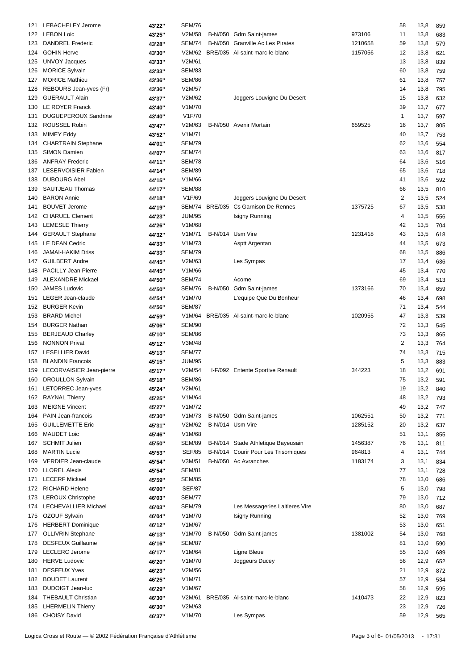| 121 | LEBACHELEY Jerome           | 43'22" | <b>SEM/76</b> |                |                                     |         | 58             | 13,8 | 859 |
|-----|-----------------------------|--------|---------------|----------------|-------------------------------------|---------|----------------|------|-----|
|     | 122 LEBON Loic              | 43'25" | V2M/58        |                | B-N/050 Gdm Saint-james             | 973106  | 11             | 13,8 | 683 |
|     |                             |        |               |                |                                     |         |                |      |     |
| 123 | <b>DANDREL Frederic</b>     | 43'28" | <b>SEM/74</b> |                | B-N/050 Granville Ac Les Pirates    | 1210658 | 59             | 13,8 | 579 |
| 124 | <b>GOHIN Herve</b>          | 43'30" | V2M/62        |                | BRE/035 Al-saint-marc-le-blanc      | 1157056 | 12             | 13,8 | 621 |
| 125 | <b>UNVOY Jacques</b>        | 43'33" | V2M/61        |                |                                     |         | 13             | 13,8 | 839 |
| 126 | <b>MORICE Sylvain</b>       | 43'33" | <b>SEM/83</b> |                |                                     |         | 60             | 13,8 | 759 |
| 127 | <b>MORICE Mathieu</b>       | 43'36" | <b>SEM/86</b> |                |                                     |         | 61             | 13,8 | 757 |
| 128 | REBOURS Jean-yves (Fr)      | 43'36" | V2M/57        |                |                                     |         | 14             | 13,8 | 795 |
| 129 | <b>GUERAULT Alain</b>       | 43'37" | V2M/62        |                | Joggers Louvigne Du Desert          |         | 15             | 13,8 | 632 |
| 130 | LE ROYER Franck             | 43'40" | V1M/70        |                |                                     |         | 39             | 13,7 | 677 |
| 131 | <b>DUGUEPEROUX Sandrine</b> | 43'40" | V1F/70        |                |                                     |         | $\mathbf{1}$   | 13,7 | 597 |
|     |                             |        |               |                |                                     |         |                |      |     |
| 132 | ROUSSEL Robin               | 43'47" | V2M/63        |                | B-N/050 Avenir Mortain              | 659525  | 16             | 13,7 | 805 |
| 133 | <b>MIMEY Eddy</b>           | 43'52" | V1M/71        |                |                                     |         | 40             | 13,7 | 753 |
| 134 | <b>CHARTRAIN Stephane</b>   | 44'01" | <b>SEM/79</b> |                |                                     |         | 62             | 13,6 | 554 |
| 135 | <b>SIMON Damien</b>         | 44'07" | <b>SEM/74</b> |                |                                     |         | 63             | 13,6 | 817 |
| 136 | <b>ANFRAY Frederic</b>      | 44'11" | <b>SEM/78</b> |                |                                     |         | 64             | 13,6 | 516 |
| 137 | LESERVOISIER Fabien         | 44'14" | <b>SEM/89</b> |                |                                     |         | 65             | 13,6 | 718 |
| 138 | <b>DUBOURG Abel</b>         | 44'15" | V1M/66        |                |                                     |         | 41             | 13,6 | 592 |
| 139 | <b>SAUTJEAU Thomas</b>      | 44'17" | <b>SEM/88</b> |                |                                     |         | 66             | 13,5 | 810 |
| 140 | <b>BARON Annie</b>          | 44'18" | V1F/69        |                | Joggers Louvigne Du Desert          |         | $\overline{2}$ | 13,5 | 524 |
|     |                             |        |               |                |                                     |         |                |      |     |
| 141 | <b>BOUVET Jerome</b>        | 44'19" | <b>SEM/74</b> | <b>BRE/035</b> | Cs Garnison De Rennes               | 1375725 | 67             | 13,5 | 538 |
| 142 | <b>CHARUEL Clement</b>      | 44'23" | <b>JUM/95</b> |                | Isigny Running                      |         | 4              | 13,5 | 556 |
| 143 | <b>LEMESLE Thierry</b>      | 44'26" | V1M/68        |                |                                     |         | 42             | 13,5 | 704 |
| 144 | <b>GERAULT Stephane</b>     | 44'32" | V1M/71        |                | B-N/014 Usm Vire                    | 1231418 | 43             | 13,5 | 618 |
| 145 | LE DEAN Cedric              | 44'33" | V1M/73        |                | Asptt Argentan                      |         | 44             | 13,5 | 673 |
| 146 | <b>JAMAI-HAKIM Driss</b>    | 44'33" | <b>SEM/79</b> |                |                                     |         | 68             | 13,5 | 886 |
| 147 | <b>GUILBERT Andre</b>       | 44'45" | V2M/63        |                | Les Sympas                          |         | 17             | 13,4 | 636 |
| 148 | <b>PACILLY Jean Pierre</b>  | 44'45" | V1M/66        |                |                                     |         | 45             | 13,4 | 770 |
| 149 | <b>ALEXANDRE Mickael</b>    | 44'50" | <b>SEM/74</b> |                | Acome                               |         | 69             | 13,4 | 513 |
|     | <b>JAMES Ludovic</b>        |        | <b>SEM/76</b> |                |                                     | 1373166 | 70             |      |     |
| 150 |                             | 44'50" |               |                | B-N/050 Gdm Saint-james             |         |                | 13,4 | 659 |
| 151 | <b>LEGER Jean-claude</b>    | 44'54" | V1M/70        |                | L'equipe Que Du Bonheur             |         | 46             | 13,4 | 698 |
| 152 | <b>BURGER Kevin</b>         | 44'56" | <b>SEM/87</b> |                |                                     |         | 71             | 13,4 | 544 |
| 153 | <b>BRARD Michel</b>         | 44'59" | V1M/64        |                | BRE/035 Al-saint-marc-le-blanc      | 1020955 | 47             | 13,3 | 539 |
| 154 | <b>BURGER Nathan</b>        | 45'06" | <b>SEM/90</b> |                |                                     |         | 72             | 13,3 | 545 |
| 155 | <b>BERJEAUD Charley</b>     | 45'10" | <b>SEM/86</b> |                |                                     |         | 73             | 13,3 | 865 |
| 156 | <b>NONNON Privat</b>        | 45'12" | V3M/48        |                |                                     |         | 2              | 13,3 | 764 |
| 157 | <b>LESELLIER David</b>      | 45'13" | <b>SEM/77</b> |                |                                     |         | 74             | 13,3 | 715 |
| 158 | <b>BLANDIN Francois</b>     | 45'15" | <b>JUM/95</b> |                |                                     |         | 5              | 13,3 | 883 |
|     | LECORVAISIER Jean-pierre    |        | V2M/54        |                |                                     |         |                |      |     |
| 159 |                             | 45'17" |               |                | I-F/092 Entente Sportive Renault    | 344223  | 18             | 13,2 | 691 |
|     | 160 DROULLON Sylvain        | 45'18" | <b>SEM/86</b> |                |                                     |         | 75             | 13,2 | 591 |
| 161 | LETORREC Jean-yves          | 45'24" | V2M/61        |                |                                     |         | 19             | 13,2 | 840 |
|     | 162 RAYNAL Thierry          | 45'25" | V1M/64        |                |                                     |         | 48             | 13,2 | 793 |
| 163 | <b>MEIGNE Vincent</b>       | 45'27" | V1M/72        |                |                                     |         | 49             | 13,2 | 747 |
| 164 | PAIN Jean-francois          | 45'30" | V1M/73        |                | B-N/050 Gdm Saint-james             | 1062551 | 50             | 13,2 | 771 |
| 165 | <b>GUILLEMETTE Eric</b>     | 45'31" | V2M/62        |                | B-N/014 Usm Vire                    | 1285152 | 20             | 13,2 | 637 |
| 166 | <b>MAUDET Loic</b>          | 45'46" | V1M/68        |                |                                     |         | 51             | 13,1 | 855 |
| 167 | <b>SCHMIT Julien</b>        | 45'50" | <b>SEM/89</b> |                | B-N/014 Stade Athletique Bayeusain  | 1456387 | 76             | 13,1 | 811 |
| 168 | <b>MARTIN Lucie</b>         | 45'53" | <b>SEF/85</b> |                | B-N/014 Courir Pour Les Trisomiques | 964813  | 4              | 13,1 | 744 |
|     |                             |        |               |                |                                     |         |                |      |     |
| 169 | <b>VERDIER Jean-claude</b>  | 45'54" | V3M/51        |                | B-N/050 Ac Avranches                | 1183174 | 3              | 13,1 | 834 |
| 170 | <b>LLOREL Alexis</b>        | 45'54" | <b>SEM/81</b> |                |                                     |         | 77             | 13,1 | 728 |
| 171 | <b>LECERF Mickael</b>       | 45'59" | <b>SEM/85</b> |                |                                     |         | 78             | 13,0 | 686 |
|     | 172 RICHARD Helene          | 46'00" | <b>SEF/87</b> |                |                                     |         | 5              | 13,0 | 798 |
| 173 | <b>LEROUX Christophe</b>    | 46'03" | <b>SEM/77</b> |                |                                     |         | 79             | 13,0 | 712 |
|     | 174 LECHEVALLIER Michael    | 46'03" | <b>SEM/79</b> |                | Les Messageries Laitieres Vire      |         | 80             | 13,0 | 687 |
| 175 | OZOUF Sylvain               | 46'04" | V1M/70        |                | Isigny Running                      |         | 52             | 13,0 | 769 |
| 176 | <b>HERBERT Dominique</b>    | 46'12" | V1M/67        |                |                                     |         | 53             | 13,0 | 651 |
| 177 | <b>OLLIVRIN Stephane</b>    | 46'13" | V1M/70        |                | B-N/050 Gdm Saint-james             | 1381002 | 54             | 13,0 | 768 |
|     |                             |        |               |                |                                     |         |                |      |     |
| 178 | <b>DESFEUX Guillaume</b>    | 46'16" | <b>SEM/87</b> |                |                                     |         | 81             | 13,0 | 590 |
| 179 | LECLERC Jerome              | 46'17" | V1M/64        |                | Ligne Bleue                         |         | 55             | 13,0 | 689 |
| 180 | <b>HERVE Ludovic</b>        | 46'20" | V1M/70        |                | Joggeurs Ducey                      |         | 56             | 12,9 | 652 |
| 181 | <b>DESFEUX Yves</b>         | 46'23" | V2M/56        |                |                                     |         | 21             | 12,9 | 872 |
| 182 | <b>BOUDET Laurent</b>       | 46'25" | V1M/71        |                |                                     |         | 57             | 12,9 | 534 |
| 183 | DUDOIGT Jean-luc            | 46'29" | V1M/67        |                |                                     |         | 58             | 12,9 | 595 |
| 184 | <b>THEBAULT Christian</b>   | 46'30" | V2M/61        |                | BRE/035 Al-saint-marc-le-blanc      | 1410473 | 22             | 12,9 | 823 |
| 185 | <b>LHERMELIN Thierry</b>    | 46'30" | V2M/63        |                |                                     |         | 23             | 12,9 | 726 |
| 186 | <b>CHOISY David</b>         | 46'37" | V1M/70        |                | Les Sympas                          |         | 59             | 12,9 | 565 |
|     |                             |        |               |                |                                     |         |                |      |     |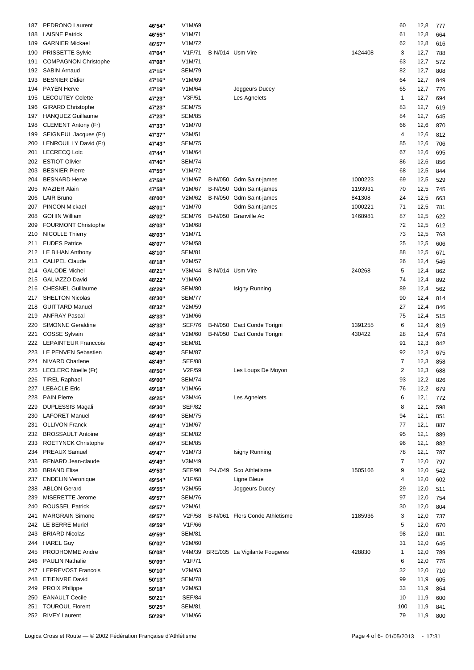| 187 | <b>PEDRONO Laurent</b>      | 46'54" | V1M/69        |                  |                                |         | 60             | 12,8 | 777 |
|-----|-----------------------------|--------|---------------|------------------|--------------------------------|---------|----------------|------|-----|
| 188 | <b>LAISNE Patrick</b>       | 46'55" | V1M/71        |                  |                                |         | 61             | 12,8 | 664 |
| 189 | <b>GARNIER Mickael</b>      | 46'57" | V1M/72        |                  |                                |         | 62             | 12,8 | 616 |
| 190 | PRISSETTE Sylvie            | 47'04" | V1F/71        | B-N/014 Usm Vire |                                | 1424408 | 3              | 12,7 | 788 |
| 191 | <b>COMPAGNON Christophe</b> | 47'08" | V1M/71        |                  |                                |         | 63             | 12,7 | 572 |
| 192 | <b>SABIN Arnaud</b>         | 47'15" | <b>SEM/79</b> |                  |                                |         | 82             | 12,7 | 808 |
|     | <b>BESNIER Didier</b>       |        |               |                  |                                |         |                |      |     |
| 193 |                             | 47'16" | V1M/69        |                  |                                |         | 64             | 12,7 | 849 |
| 194 | <b>PAYEN Herve</b>          | 47'19" | V1M/64        |                  | Joggeurs Ducey                 |         | 65             | 12,7 | 776 |
| 195 | <b>LECOUTEY Colette</b>     | 47'23" | V3F/51        |                  | Les Agnelets                   |         | 1              | 12,7 | 694 |
| 196 | <b>GIRARD Christophe</b>    | 47'23" | <b>SEM/75</b> |                  |                                |         | 83             | 12,7 | 619 |
| 197 | <b>HANQUEZ Guillaume</b>    | 47'23" | <b>SEM/85</b> |                  |                                |         | 84             | 12,7 | 645 |
| 198 | <b>CLEMENT Antony (Fr)</b>  | 47'33" | V1M/70        |                  |                                |         | 66             | 12,6 | 870 |
| 199 | SEIGNEUL Jacques (Fr)       | 47'37" | V3M/51        |                  |                                |         | 4              | 12,6 | 812 |
| 200 | LENROUILLY David (Fr)       | 47'43" | <b>SEM/75</b> |                  |                                |         | 85             | 12,6 | 706 |
| 201 | <b>LECRECQ Loic</b>         | 47'44" | V1M/64        |                  |                                |         | 67             | 12,6 | 695 |
|     | <b>ESTIOT Olivier</b>       |        | <b>SEM/74</b> |                  |                                |         | 86             | 12,6 |     |
| 202 |                             | 47'46" |               |                  |                                |         |                |      | 856 |
| 203 | <b>BESNIER Pierre</b>       | 47'55" | V1M/72        |                  |                                |         | 68             | 12,5 | 844 |
| 204 | <b>BESNARD Herve</b>        | 47'58" | V1M/67        |                  | B-N/050 Gdm Saint-james        | 1000223 | 69             | 12,5 | 529 |
| 205 | <b>MAZIER Alain</b>         | 47'58" | V1M/67        |                  | B-N/050 Gdm Saint-james        | 1193931 | 70             | 12,5 | 745 |
| 206 | LAIR Bruno                  | 48'00" | V2M/62        |                  | B-N/050 Gdm Saint-james        | 841308  | 24             | 12,5 | 663 |
| 207 | <b>PINCON Mickael</b>       | 48'01" | V1M/70        |                  | Gdm Saint-james                | 1000221 | 71             | 12,5 | 781 |
| 208 | <b>GOHIN William</b>        | 48'02" | <b>SEM/76</b> |                  | B-N/050 Granville Ac           | 1468981 | 87             | 12,5 | 622 |
| 209 | <b>FOURMONT Christophe</b>  | 48'03" | V1M/68        |                  |                                |         | 72             | 12,5 | 612 |
| 210 | <b>NICOLLE Thierry</b>      | 48'03" | V1M/71        |                  |                                |         | 73             | 12,5 | 763 |
| 211 | <b>EUDES Patrice</b>        | 48'07" | V2M/58        |                  |                                |         | 25             | 12,5 | 606 |
|     |                             |        |               |                  |                                |         |                |      |     |
| 212 | LE BIHAN Anthony            | 48'10" | <b>SEM/81</b> |                  |                                |         | 88             | 12,5 | 671 |
| 213 | <b>CALIPEL Claude</b>       | 48'18" | V2M/57        |                  |                                |         | 26             | 12,4 | 546 |
| 214 | <b>GALODE Michel</b>        | 48'21" | V3M/44        | B-N/014 Usm Vire |                                | 240268  | 5              | 12,4 | 862 |
| 215 | GALIAZZO David              | 48'22" | V1M/69        |                  |                                |         | 74             | 12,4 | 892 |
| 216 | <b>CHESNEL Guillaume</b>    | 48'29" | <b>SEM/80</b> |                  | Isigny Running                 |         | 89             | 12,4 | 562 |
| 217 | <b>SHELTON Nicolas</b>      | 48'30" | <b>SEM/77</b> |                  |                                |         | 90             | 12,4 | 814 |
| 218 | <b>GUITTARD Manuel</b>      | 48'32" | V2M/59        |                  |                                |         | 27             | 12,4 | 846 |
| 219 | <b>ANFRAY Pascal</b>        | 48'33" | V1M/66        |                  |                                |         | 75             | 12,4 | 515 |
| 220 | <b>SIMONNE Geraldine</b>    | 48'33" | <b>SEF/76</b> |                  | B-N/050 Cact Conde Torigni     | 1391255 | 6              | 12,4 | 819 |
| 221 | <b>COSSE Sylvain</b>        | 48'34" | V2M/60        |                  | B-N/050 Cact Conde Torigni     | 430422  | 28             | 12,4 | 574 |
|     | <b>LEPAINTEUR Franccois</b> |        | <b>SEM/81</b> |                  |                                |         | 91             |      |     |
| 222 |                             | 48'43" |               |                  |                                |         |                | 12,3 | 842 |
| 223 | LE PENVEN Sebastien         | 48'49" | <b>SEM/87</b> |                  |                                |         | 92             | 12,3 | 675 |
| 224 | NIVARD Charlene             | 48'49" | <b>SEF/88</b> |                  |                                |         | $\overline{7}$ | 12,3 | 858 |
| 225 | LECLERC Noelle (Fr)         | 48'56" | V2F/59        |                  | Les Loups De Moyon             |         | 2              | 12,3 | 688 |
|     | 226 TIREL Raphael           | 49'00" | <b>SEM/74</b> |                  |                                |         | 93             | 12,2 | 826 |
| 227 | <b>LEBACLE Eric</b>         | 49'18" | V1M/66        |                  |                                |         | 76             | 12,2 | 679 |
| 228 | <b>PAIN Pierre</b>          | 49'25" | V3M/46        |                  | Les Agnelets                   |         | 6              | 12,1 | 772 |
| 229 | DUPLESSIS Magali            | 49'30" | <b>SEF/82</b> |                  |                                |         | 8              | 12,1 | 598 |
| 230 | <b>LAFORET Manuel</b>       | 49'40" | <b>SEM/75</b> |                  |                                |         | 94             | 12,1 | 851 |
| 231 | <b>OLLIVON Franck</b>       | 49'41" | V1M/67        |                  |                                |         | 77             | 12,1 | 887 |
|     |                             |        |               |                  |                                |         |                |      |     |
| 232 | <b>BROSSAULT Antoine</b>    | 49'43" | <b>SEM/82</b> |                  |                                |         | 95             | 12,1 | 889 |
| 233 | <b>ROETYNCK Christophe</b>  | 49'47" | <b>SEM/85</b> |                  |                                |         | 96             | 12,1 | 882 |
| 234 | <b>PREAUX Samuel</b>        | 49'47" | V1M/73        |                  | Isigny Running                 |         | 78             | 12,1 | 787 |
| 235 | <b>RENARD Jean-claude</b>   | 49'49" | V3M/49        |                  |                                |         | $\overline{7}$ | 12,0 | 797 |
| 236 | <b>BRIAND Elise</b>         | 49'53" | <b>SEF/90</b> | P-L/049          | Sco Athletisme                 | 1505166 | 9              | 12,0 | 542 |
| 237 | <b>ENDELIN Veronique</b>    | 49'54" | V1F/68        |                  | Ligne Bleue                    |         | 4              | 12,0 | 602 |
| 238 | <b>ABLON Gerard</b>         | 49'55" | V2M/55        |                  | Joggeurs Ducey                 |         | 29             | 12,0 | 511 |
| 239 | MISERETTE Jerome            | 49'57" | <b>SEM/76</b> |                  |                                |         | 97             | 12,0 | 754 |
| 240 | <b>ROUSSEL Patrick</b>      | 49'57" | V2M/61        |                  |                                |         | 30             | 12,0 | 804 |
|     | <b>MARGRAIN Simone</b>      |        | V2F/58        |                  | B-N/061 Flers Conde Athletisme | 1185936 | 3              |      |     |
| 241 |                             | 49'57" |               |                  |                                |         |                | 12,0 | 737 |
| 242 | LE BERRE Muriel             | 49'59" | V1F/66        |                  |                                |         | 5              | 12,0 | 670 |
| 243 | <b>BRIARD Nicolas</b>       | 49'59" | <b>SEM/81</b> |                  |                                |         | 98             | 12,0 | 881 |
| 244 | <b>HAREL Guy</b>            | 50'02" | V2M/60        |                  |                                |         | 31             | 12,0 | 646 |
| 245 | PRODHOMME Andre             | 50'08" | V4M/39        |                  | BRE/035 La Vigilante Fougeres  | 428830  | 1              | 12,0 | 789 |
| 246 | <b>PAULIN Nathalie</b>      | 50'09" | V1F/71        |                  |                                |         | 6              | 12,0 | 775 |
| 247 | LEPREVOST Francois          | 50'10" | V2M/63        |                  |                                |         | 32             | 12,0 | 710 |
| 248 | <b>ETIENVRE David</b>       | 50'13" | <b>SEM/78</b> |                  |                                |         | 99             | 11,9 | 605 |
| 249 | <b>PROIX Philippe</b>       | 50'18" | V2M/63        |                  |                                |         | 33             | 11,9 | 864 |
| 250 | <b>EANAULT Cecile</b>       | 50'21" | <b>SEF/84</b> |                  |                                |         | 10             | 11,9 | 600 |
|     |                             |        |               |                  |                                |         | 100            |      |     |
| 251 | <b>TOUROUL Florent</b>      | 50'25" | <b>SEM/81</b> |                  |                                |         |                | 11,9 | 841 |
|     | 252 RIVEY Laurent           | 50'29" | V1M/66        |                  |                                |         | 79             | 11,9 | 800 |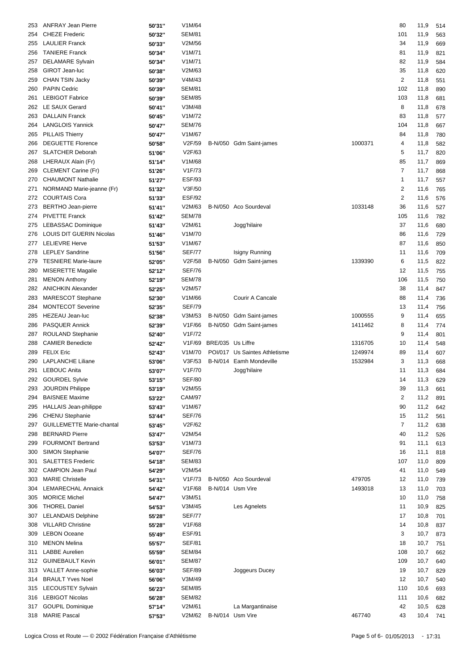| 253 | ANFRAY Jean Pierre               | 50'31" | V1M/64        |                   |                               |         | 80             | 11,9 | 514 |
|-----|----------------------------------|--------|---------------|-------------------|-------------------------------|---------|----------------|------|-----|
| 254 | <b>CHEZE Frederic</b>            | 50'32" | <b>SEM/81</b> |                   |                               |         | 101            | 11,9 | 563 |
| 255 | <b>LAULIER Franck</b>            | 50'33" | V2M/56        |                   |                               |         | 34             | 11,9 | 669 |
| 256 | <b>TANIERE Franck</b>            | 50'34" | V1M/71        |                   |                               |         | 81             | 11,9 | 821 |
|     |                                  |        |               |                   |                               |         |                |      |     |
| 257 | <b>DELAMARE Sylvain</b>          | 50'34" | V1M/71        |                   |                               |         | 82             | 11,9 | 584 |
| 258 | GIROT Jean-luc                   | 50'38" | V2M/63        |                   |                               |         | 35             | 11,8 | 620 |
| 259 | CHAN TSIN Jacky                  | 50'39" | V4M/43        |                   |                               |         | 2              | 11,8 | 551 |
| 260 | <b>PAPIN Cedric</b>              | 50'39" | <b>SEM/81</b> |                   |                               |         | 102            | 11,8 | 890 |
| 261 | <b>LEBIGOT Fabrice</b>           | 50'39" | <b>SEM/85</b> |                   |                               |         | 103            | 11,8 | 681 |
| 262 | <b>LE SAUX Gerard</b>            | 50'41" | V3M/48        |                   |                               |         | 8              | 11,8 | 678 |
| 263 | <b>DALLAIN Franck</b>            | 50'45" | V1M/72        |                   |                               |         | 83             | 11,8 | 577 |
| 264 | <b>LANGLOIS Yannick</b>          |        | <b>SEM/76</b> |                   |                               |         | 104            |      |     |
|     |                                  | 50'47" |               |                   |                               |         |                | 11,8 | 667 |
| 265 | <b>PILLAIS Thierry</b>           | 50'47" | V1M/67        |                   |                               |         | 84             | 11,8 | 780 |
| 266 | <b>DEGUETTE Florence</b>         | 50'58" | V2F/59        |                   | B-N/050 Gdm Saint-james       | 1000371 | 4              | 11,8 | 582 |
| 267 | <b>SLATCHER Deborah</b>          | 51'06" | V2F/63        |                   |                               |         | 5              | 11,7 | 820 |
| 268 | LHERAUX Alain (Fr)               | 51'14" | V1M/68        |                   |                               |         | 85             | 11,7 | 869 |
| 269 | CLEMENT Carine (Fr)              | 51'26" | V1F/73        |                   |                               |         | $\overline{7}$ | 11,7 | 868 |
| 270 | <b>CHAUMONT Nathalie</b>         | 51'27" | <b>ESF/93</b> |                   |                               |         | $\mathbf{1}$   | 11,7 | 557 |
| 271 | NORMAND Marie-jeanne (Fr)        | 51'32" | V3F/50        |                   |                               |         | $\overline{c}$ | 11,6 | 765 |
|     |                                  |        |               |                   |                               |         |                |      |     |
| 272 | <b>COURTAIS Cora</b>             | 51'33" | <b>ESF/92</b> |                   |                               |         | 2              | 11,6 | 576 |
| 273 | <b>BERTHO Jean-pierre</b>        | 51'41" | V2M/63        |                   | B-N/050 Aco Sourdeval         | 1033148 | 36             | 11,6 | 527 |
| 274 | <b>PIVETTE Franck</b>            | 51'42" | <b>SEM/78</b> |                   |                               |         | 105            | 11,6 | 782 |
| 275 | <b>LEBASSAC Dominique</b>        | 51'43" | V2M/61        |                   | Jogg'hilaire                  |         | 37             | 11,6 | 680 |
| 276 | LOUIS DIT GUERIN Nicolas         | 51'46" | V1M/70        |                   |                               |         | 86             | 11,6 | 729 |
| 277 | <b>LELIEVRE Herve</b>            | 51'53" | V1M/67        |                   |                               |         | 87             | 11,6 | 850 |
| 278 | <b>LEPLEY Sandrine</b>           | 51'56" | <b>SEF/77</b> |                   | Isigny Running                |         | 11             | 11,6 | 709 |
| 279 | <b>TESNIERE Marie-laure</b>      |        | V2F/58        | <b>B-N/050</b>    | <b>Gdm Saint-james</b>        | 1339390 | 6              | 11,5 | 822 |
|     |                                  | 52'05" |               |                   |                               |         |                |      |     |
| 280 | <b>MISERETTE Magalie</b>         | 52'12" | <b>SEF/76</b> |                   |                               |         | 12             | 11,5 | 755 |
| 281 | <b>MENON Anthony</b>             | 52'19" | <b>SEM/78</b> |                   |                               |         | 106            | 11,5 | 750 |
| 282 | <b>ANICHKIN Alexander</b>        | 52'25" | V2M/57        |                   |                               |         | 38             | 11,4 | 847 |
| 283 | MARESCOT Stephane                | 52'30" | V1M/66        |                   | Courir A Cancale              |         | 88             | 11,4 | 736 |
| 284 | <b>MONTECOT Severine</b>         | 52'35" | <b>SEF/79</b> |                   |                               |         | 13             | 11,4 | 756 |
| 285 | HEZEAU Jean-luc                  | 52'38" | V3M/53        |                   | B-N/050 Gdm Saint-james       | 1000555 | 9              | 11,4 | 655 |
| 286 | <b>PASQUER Annick</b>            | 52'39" | V1F/66        |                   | B-N/050 Gdm Saint-james       | 1411462 | 8              | 11,4 | 774 |
| 287 | ROULAND Stephanie                | 52'40" | V1F/72        |                   |                               |         | 9              | 11,4 |     |
|     |                                  |        |               |                   |                               |         |                |      | 801 |
| 288 | <b>CAMIER Benedicte</b>          | 52'42" | V1F/69        | BRE/035 Us Liffre |                               | 1316705 | 10             | 11,4 | 548 |
| 289 | <b>FELIX Eric</b>                | 52'43" | V1M/70        |                   | POI/017 Us Saintes Athletisme | 1249974 | 89             | 11,4 | 607 |
| 290 | <b>LAPLANCHE Liliane</b>         | 53'06" | V3F/53        |                   | B-N/014 Eamh Mondeville       | 1532984 | 3              | 11,3 | 668 |
| 291 | LEBOUC Anita                     | 53'07" | V1F/70        |                   | Jogg'hilaire                  |         | 11             | 11,3 | 684 |
| 292 | <b>GOURDEL Sylvie</b>            | 53'15" | <b>SEF/80</b> |                   |                               |         | 14             | 11,3 | 629 |
| 293 | <b>JOURDIN Philippe</b>          | 53'19" | V2M/55        |                   |                               |         | 39             | 11,3 | 661 |
| 294 | <b>BAISNEE Maxime</b>            | 53'22" | <b>CAM/97</b> |                   |                               |         | 2              | 11,2 | 891 |
| 295 | <b>HALLAIS Jean-philippe</b>     | 53'43" | V1M/67        |                   |                               |         | 90             | 11,2 | 642 |
|     |                                  |        |               |                   |                               |         |                |      |     |
| 296 | <b>CHENU Stephanie</b>           | 53'44" | SEF/76        |                   |                               |         | 15             | 11,2 | 561 |
| 297 | <b>GUILLEMETTE Marie-chantal</b> | 53'45" | V2F/62        |                   |                               |         | $\overline{7}$ | 11,2 | 638 |
| 298 | <b>BERNARD Pierre</b>            | 53'47" | V2M/54        |                   |                               |         | 40             | 11,2 | 526 |
| 299 | <b>FOURMONT Bertrand</b>         | 53'53" | V1M/73        |                   |                               |         | 91             | 11,1 | 613 |
| 300 | <b>SIMON Stephanie</b>           | 54'07" | <b>SEF/76</b> |                   |                               |         | 16             | 11,1 | 818 |
| 301 | <b>SALETTES Frederic</b>         | 54'18" | <b>SEM/83</b> |                   |                               |         | 107            | 11,0 | 809 |
| 302 | <b>CAMPION Jean Paul</b>         | 54'29" | V2M/54        |                   |                               |         | 41             | 11,0 | 549 |
| 303 | <b>MARIE Christelle</b>          | 54'31" | V1F/73        |                   | B-N/050 Aco Sourdeval         | 479705  | 12             | 11,0 | 739 |
|     |                                  |        |               |                   |                               |         |                |      |     |
| 304 | <b>LEMARECHAL Annaick</b>        | 54'42" | V1F/68        |                   | B-N/014 Usm Vire              | 1493018 | 13             | 11,0 | 703 |
| 305 | <b>MORICE Michel</b>             | 54'47" | V3M/51        |                   |                               |         | 10             | 11,0 | 758 |
| 306 | <b>THOREL Daniel</b>             | 54'53" | V3M/45        |                   | Les Agnelets                  |         | 11             | 10,9 | 825 |
| 307 | <b>LELANDAIS Delphine</b>        | 55'28" | <b>SEF/77</b> |                   |                               |         | 17             | 10,8 | 701 |
| 308 | <b>VILLARD Christine</b>         | 55'28" | V1F/68        |                   |                               |         | 14             | 10,8 | 837 |
| 309 | <b>LEBON Oceane</b>              | 55'49" | ESF/91        |                   |                               |         | 3              | 10,7 | 873 |
| 310 | <b>MENON Melina</b>              | 55'57" | <b>SEF/81</b> |                   |                               |         | 18             | 10,7 | 751 |
| 311 | <b>LABBE</b> Aurelien            | 55'59" | <b>SEM/84</b> |                   |                               |         | 108            | 10,7 | 662 |
| 312 | <b>GUINEBAULT Kevin</b>          | 56'01" | <b>SEM/87</b> |                   |                               |         | 109            | 10,7 | 640 |
|     |                                  |        |               |                   |                               |         |                |      |     |
| 313 | <b>VALLET Anne-sophie</b>        | 56'03" | <b>SEF/89</b> |                   | Joggeurs Ducey                |         | 19             | 10,7 | 829 |
| 314 | <b>BRAULT Yves Noel</b>          | 56'06" | V3M/49        |                   |                               |         | 12             | 10,7 | 540 |
| 315 | <b>LECOUSTEY Sylvain</b>         | 56'23" | <b>SEM/85</b> |                   |                               |         | 110            | 10,6 | 693 |
| 316 | <b>LEBIGOT Nicolas</b>           | 56'28" | <b>SEM/82</b> |                   |                               |         | 111            | 10,6 | 682 |
| 317 | <b>GOUPIL Dominique</b>          | 57'14" | V2M/61        |                   | La Margantinaise              |         | 42             | 10,5 | 628 |
| 318 | <b>MARIE Pascal</b>              | 57'53" | V2M/62        |                   | B-N/014 Usm Vire              | 467740  | 43             | 10,4 | 741 |
|     |                                  |        |               |                   |                               |         |                |      |     |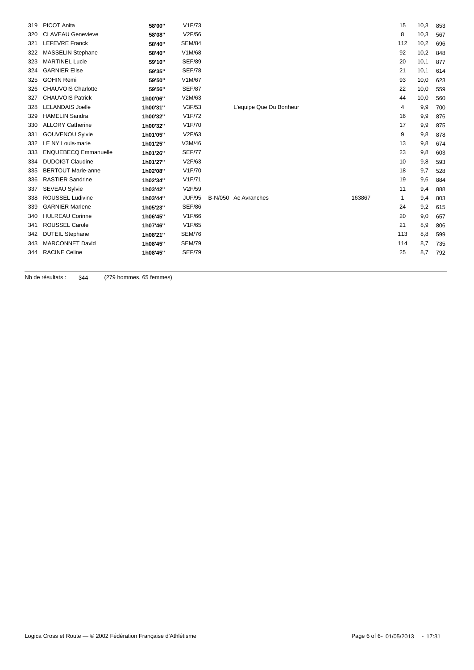| 319 | <b>PICOT Anita</b>          | 58'00"   | V1F/73        |                         |        | 15  | 10,3 | 853 |
|-----|-----------------------------|----------|---------------|-------------------------|--------|-----|------|-----|
| 320 | <b>CLAVEAU Genevieve</b>    | 58'08"   | V2F/56        |                         |        | 8   | 10,3 | 567 |
| 321 | LEFEVRE Franck              | 58'40"   | <b>SEM/84</b> |                         |        | 112 | 10,2 | 696 |
| 322 | MASSELIN Stephane           | 58'40"   | V1M/68        |                         |        | 92  | 10,2 | 848 |
| 323 | <b>MARTINEL Lucie</b>       | 59'10"   | <b>SEF/89</b> |                         |        | 20  | 10,1 | 877 |
| 324 | <b>GARNIER Elise</b>        | 59'35"   | <b>SEF/78</b> |                         |        | 21  | 10,1 | 614 |
| 325 | <b>GOHIN Remi</b>           | 59'50"   | V1M/67        |                         |        | 93  | 10,0 | 623 |
| 326 | <b>CHAUVOIS Charlotte</b>   | 59'56"   | <b>SEF/87</b> |                         |        | 22  | 10,0 | 559 |
| 327 | <b>CHAUVOIS Patrick</b>     | 1h00'06" | V2M/63        |                         |        | 44  | 10,0 | 560 |
| 328 | <b>LELANDAIS Joelle</b>     | 1h00'31" | V3F/53        | L'equipe Que Du Bonheur |        | 4   | 9,9  | 700 |
| 329 | <b>HAMELIN Sandra</b>       | 1h00'32" | V1F/72        |                         |        | 16  | 9,9  | 876 |
| 330 | <b>ALLORY Catherine</b>     | 1h00'32" | V1F/70        |                         |        | 17  | 9,9  | 875 |
| 331 | <b>GOUVENOU Sylvie</b>      | 1h01'05" | V2F/63        |                         |        | 9   | 9,8  | 878 |
| 332 | LE NY Louis-marie           | 1h01'25" | V3M/46        |                         |        | 13  | 9,8  | 674 |
| 333 | <b>ENQUEBECQ Emmanuelle</b> | 1h01'26" | <b>SEF/77</b> |                         |        | 23  | 9,8  | 603 |
| 334 | <b>DUDOIGT Claudine</b>     | 1h01'27" | V2F/63        |                         |        | 10  | 9,8  | 593 |
| 335 | <b>BERTOUT Marie-anne</b>   | 1h02'08" | V1F/70        |                         |        | 18  | 9,7  | 528 |
| 336 | <b>RASTIER Sandrine</b>     | 1h02'34" | V1F/71        |                         |        | 19  | 9,6  | 884 |
| 337 | <b>SEVEAU Sylvie</b>        | 1h03'42" | V2F/59        |                         |        | 11  | 9,4  | 888 |
| 338 | ROUSSEL Ludivine            | 1h03'44" | <b>JUF/95</b> | B-N/050 Ac Avranches    | 163867 | 1   | 9,4  | 803 |
| 339 | <b>GARNIER Marlene</b>      | 1h05'23" | <b>SEF/86</b> |                         |        | 24  | 9,2  | 615 |
| 340 | <b>HULREAU Corinne</b>      | 1h06'45" | V1F/66        |                         |        | 20  | 9,0  | 657 |
| 341 | <b>ROUSSEL Carole</b>       | 1h07'46" | V1F/65        |                         |        | 21  | 8,9  | 806 |
| 342 | <b>DUTEIL Stephane</b>      | 1h08'21" | <b>SEM/76</b> |                         |        | 113 | 8,8  | 599 |
| 343 | <b>MARCONNET David</b>      | 1h08'45" | <b>SEM/79</b> |                         |        | 114 | 8,7  | 735 |
| 344 | <b>RACINE Celine</b>        | 1h08'45" | <b>SEF/79</b> |                         |        | 25  | 8,7  | 792 |
|     |                             |          |               |                         |        |     |      |     |

Nb de résultats : 344 (279 hommes, 65 femmes)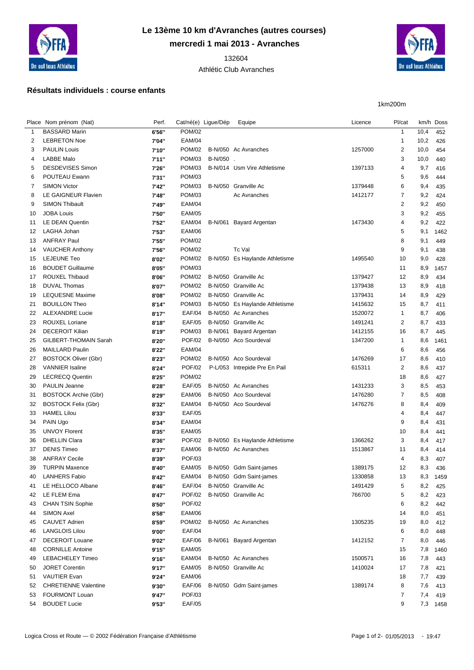

# **Le 13ème 10 km d'Avranches (autres courses) mercredi 1 mai 2013 - Avranches**

 Athlétic Club Avranches



#### **Résultats individuels : course enfants**

1km200m

|              | Place Nom prénom (Nat)      | Perf.  | Cat/né(e) Ligue/Dép |          | Equipe                         | Licence | Pl/cat         | km/h Doss |      |
|--------------|-----------------------------|--------|---------------------|----------|--------------------------------|---------|----------------|-----------|------|
| $\mathbf{1}$ | <b>BASSARD Marin</b>        | 6'56"  | <b>POM/02</b>       |          |                                |         | $\mathbf{1}$   | 10,4      | 452  |
| 2            | <b>LEBRETON Noe</b>         | 7'04"  | <b>EAM/04</b>       |          |                                |         | $\mathbf{1}$   | 10,2      | 426  |
| 3            | <b>PAULIN Louis</b>         | 7'10"  | <b>POM/02</b>       |          | B-N/050 Ac Avranches           | 1257000 | 2              | 10,0      | 454  |
| 4            | <b>LABBE Malo</b>           | 7'11'' | <b>POM/03</b>       | B-N/050. |                                |         | 3              | 10,0      | 440  |
| 5            | <b>DESDEVISES Simon</b>     | 7'26"  | <b>POM/03</b>       |          | B-N/014 Usm Vire Athletisme    | 1397133 | 4              | 9,7       | 416  |
| 6            | POUTEAU Ewann               | 7'31"  | <b>POM/03</b>       |          |                                |         | 5              | 9,6       | 444  |
| 7            | <b>SIMON Victor</b>         | 7'42"  | <b>POM/03</b>       |          | B-N/050 Granville Ac           | 1379448 | 6              | 9,4       | 435  |
| 8            | LE GAIGNEUR Flavien         | 7'48"  | <b>POM/03</b>       |          | Ac Avranches                   | 1412177 | 7              | 9,2       | 424  |
| 9            | <b>SIMON Thibault</b>       | 7'49"  | <b>EAM/04</b>       |          |                                |         | 2              | 9,2       | 450  |
| 10           | <b>JOBA Louis</b>           | 7'50"  | <b>EAM/05</b>       |          |                                |         | 3              | 9,2       | 455  |
| 11           | LE DEAN Quentin             | 7'52"  | EAM/04              |          | B-N/061 Bayard Argentan        | 1473430 | 4              | 9,2       | 422  |
| 12           | LAGHA Johan                 | 7'53"  | <b>EAM/06</b>       |          |                                |         | 5              | 9,1       | 1462 |
| 13           | <b>ANFRAY Paul</b>          | 7'55"  | <b>POM/02</b>       |          |                                |         | 8              | 9,1       | 449  |
| 14           | <b>VAUCHER Anthony</b>      | 7'56"  | <b>POM/02</b>       |          | Tc Val                         |         | 9              | 9,1       | 438  |
| 15           | <b>LEJEUNE Teo</b>          | 8'02"  | <b>POM/02</b>       |          | B-N/050 Es Haylande Athletisme | 1495540 | 10             | 9,0       | 428  |
| 16           | <b>BOUDET Guillaume</b>     | 8'05"  | <b>POM/03</b>       |          |                                |         | 11             | 8,9       | 1457 |
| 17           | ROUXEL Thibaud              | 8'06"  | <b>POM/02</b>       |          | B-N/050 Granville Ac           | 1379427 | 12             | 8,9       | 434  |
| 18           | <b>DUVAL Thomas</b>         | 8'07"  | <b>POM/02</b>       |          | B-N/050 Granville Ac           | 1379438 | 13             | 8,9       | 418  |
| 19           | <b>LEQUESNE Maxime</b>      | 8'08"  | <b>POM/02</b>       |          | B-N/050 Granville Ac           | 1379431 | 14             | 8,9       | 429  |
| 21           | <b>BOUILLON Theo</b>        | 8'14"  | <b>POM/03</b>       |          | B-N/050 Es Haylande Athletisme | 1415632 | 15             | 8,7       | 411  |
| 22           | <b>ALEXANDRE Lucie</b>      | 8'17"  | <b>EAF/04</b>       |          | B-N/050 Ac Avranches           | 1520072 | $\mathbf{1}$   | 8,7       | 406  |
| 23           | ROUXEL Loriane              |        | <b>EAF/05</b>       |          | B-N/050 Granville Ac           | 1491241 | $\overline{2}$ | 8,7       | 433  |
| 24           | <b>DECEROIT Kilian</b>      | 8'18"  | <b>POM/03</b>       |          | B-N/061 Bayard Argentan        | 1412155 | 16             | 8,7       |      |
|              | GILBERT-THOMAIN Sarah       | 8'19"  | <b>POF/02</b>       |          | B-N/050 Aco Sourdeval          | 1347200 | $\mathbf{1}$   |           | 445  |
| 25           | <b>MAILLARD Paulin</b>      | 8'20"  | <b>EAM/04</b>       |          |                                |         | 6              | 8,6       | 1461 |
| 26           |                             | 8'22"  | <b>POM/02</b>       |          |                                |         |                | 8,6       | 456  |
| 27           | <b>BOSTOCK Oliver (Gbr)</b> | 8'23"  |                     |          | B-N/050 Aco Sourdeval          | 1476269 | 17             | 8,6       | 410  |
| 28           | <b>VANNIER Isaline</b>      | 8'24"  | <b>POF/02</b>       |          | P-L/053 Intrepide Pre En Pail  | 615311  | $\overline{2}$ | 8,6       | 437  |
| 29           | <b>LECRECQ Quentin</b>      | 8'25"  | <b>POM/02</b>       |          |                                |         | 18             | 8,6       | 427  |
| 30           | <b>PAULIN Jeanne</b>        | 8'28"  | <b>EAF/05</b>       |          | B-N/050 Ac Avranches           | 1431233 | 3              | 8,5       | 453  |
| 31           | <b>BOSTOCK Archie (Gbr)</b> | 8'29"  | <b>EAM/06</b>       |          | B-N/050 Aco Sourdeval          | 1476280 | 7              | 8,5       | 408  |
| 32           | <b>BOSTOCK Felix (Gbr)</b>  | 8'32"  | <b>EAM/04</b>       |          | B-N/050 Aco Sourdeval          | 1476276 | 8              | 8,4       | 409  |
| 33           | <b>HAMEL Lilou</b>          | 8'33"  | <b>EAF/05</b>       |          |                                |         | 4              | 8,4       | 447  |
| 34           | PAIN Ugo                    | 8'34"  | <b>EAM/04</b>       |          |                                |         | 9              | 8,4       | 431  |
| 35           | <b>UNVOY Florent</b>        | 8'35"  | <b>EAM/05</b>       |          |                                |         | 10             | 8,4       | 441  |
| 36           | <b>DHELLIN Clara</b>        | 8'36"  | <b>POF/02</b>       |          | B-N/050 Es Haylande Athletisme | 1366262 | 3              | 8,4       | 417  |
| 37           | <b>DENIS Timeo</b>          | 8'37"  | <b>EAM/06</b>       |          | B-N/050 Ac Avranches           | 1513867 | 11             | 8,4       | 414  |
| 38           | <b>ANFRAY Cecile</b>        | 8'39"  | <b>POF/03</b>       |          |                                |         | 4              | 8,3       | 407  |
| 39           | <b>TURPIN Maxence</b>       | 8'40"  |                     |          | EAM/05 B-N/050 Gdm Saint-james | 1389175 | 12             | 8,3       | 436  |
| 40           | <b>LANHERS Fabio</b>        | 8'42"  |                     |          | EAM/04 B-N/050 Gdm Saint-james | 1330858 | 13             | 8,3 1459  |      |
| 41           | LE HELLOCO Albane           | 8'46"  | EAF/04              |          | B-N/050 Granville Ac           | 1491429 | 5              | 8,2       | 425  |
| 42           | LE FLEM Ema                 | 8'47"  | <b>POF/02</b>       |          | B-N/050 Granville Ac           | 766700  | 5              | 8,2       | 423  |
| 43           | <b>CHAN TSIN Sophie</b>     | 8'50"  | <b>POF/02</b>       |          |                                |         | 6              | 8,2       | 442  |
| 44           | SIMON Axel                  | 8'58"  | <b>EAM/06</b>       |          |                                |         | 14             | 8,0       | 451  |
| 45           | CAUVET Adrien               | 8'59"  | <b>POM/02</b>       |          | B-N/050 Ac Avranches           | 1305235 | 19             | 8,0       | 412  |
| 46           | <b>LANGLOIS Lilou</b>       | 9'00"  | <b>EAF/04</b>       |          |                                |         | 6              | 8,0       | 448  |
| 47           | <b>DECEROIT Louane</b>      | 9'02"  | <b>EAF/06</b>       |          | B-N/061 Bayard Argentan        | 1412152 | $\overline{7}$ | 8,0       | 446  |
| 48           | <b>CORNILLE Antoine</b>     | 9'15"  | <b>EAM/05</b>       |          |                                |         | 15             | 7,8       | 1460 |
| 49           | <b>LEBACHELEY Timeo</b>     | 9'16"  | EAM/04              |          | B-N/050 Ac Avranches           | 1500571 | 16             | 7,8       | 443  |
| 50           | <b>JORET Corentin</b>       | 9'17'' | EAM/05              |          | B-N/050 Granville Ac           | 1410024 | 17             | 7,8       | 421  |
| 51           | <b>VAUTIER Evan</b>         | 9'24"  | <b>EAM/06</b>       |          |                                |         | 18             | 7,7       | 439  |
| 52           | <b>CHRETIENNE Valentine</b> | 9'30"  | <b>EAF/06</b>       |          | B-N/050 Gdm Saint-james        | 1389174 | 8              | 7,6       | 413  |
| 53           | <b>FOURMONT Louan</b>       | 9'47"  | <b>POF/03</b>       |          |                                |         | $\overline{7}$ | 7,4       | 419  |
| 54           | <b>BOUDET Lucie</b>         | 9'53"  | <b>EAF/05</b>       |          |                                |         | 9              | 7,3 1458  |      |
|              |                             |        |                     |          |                                |         |                |           |      |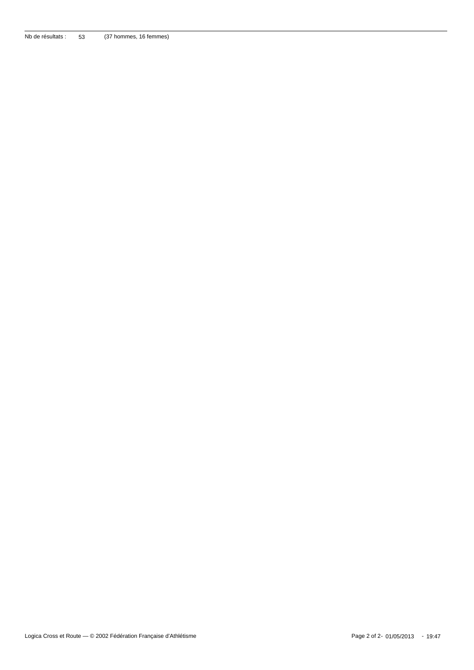Nb de résultats : 53 (37 hommes, 16 femmes)